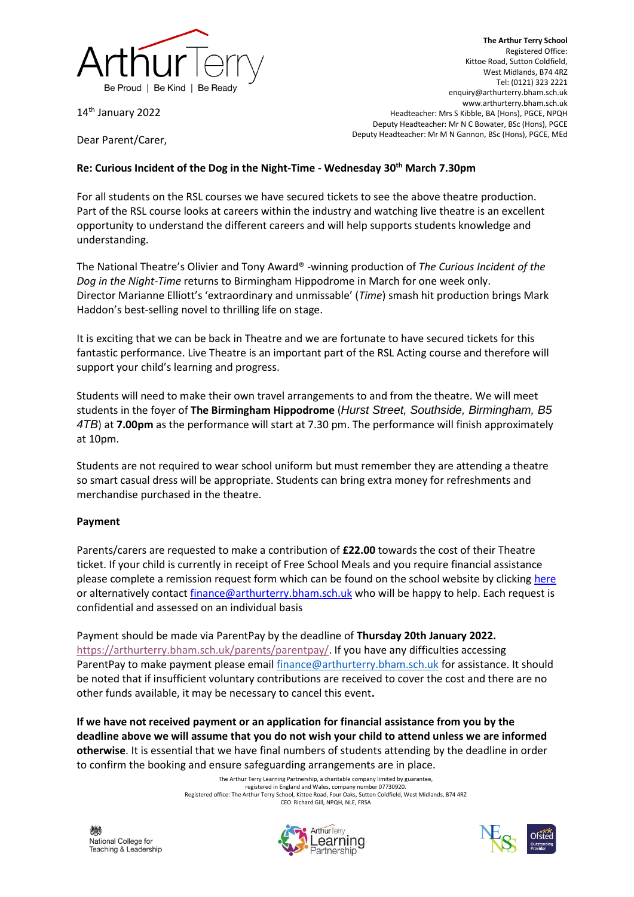

14<sup>th</sup> January 2022

**The Arthur Terry School** Registered Office: Kittoe Road, Sutton Coldfield, West Midlands, B74 4RZ Tel: (0121) 323 2221 enquiry@arthurterry.bham.sch.uk www.arthurterry.bham.sch.uk Headteacher: Mrs S Kibble, BA (Hons), PGCE, NPQH Deputy Headteacher: Mr N C Bowater, BSc (Hons), PGCE Deputy Headteacher: Mr M N Gannon, BSc (Hons), PGCE, MEd

Dear Parent/Carer,

## **Re: Curious Incident of the Dog in the Night-Time - Wednesday 30th March 7.30pm**

For all students on the RSL courses we have secured tickets to see the above theatre production. Part of the RSL course looks at careers within the industry and watching live theatre is an excellent opportunity to understand the different careers and will help supports students knowledge and understanding.

The National Theatre's Olivier and Tony Award® -winning production of *The Curious Incident of the Dog in the Night-Time* returns to Birmingham Hippodrome in March for one week only. Director Marianne Elliott's 'extraordinary and unmissable' (*Time*) smash hit production brings Mark Haddon's best-selling novel to thrilling life on stage.

It is exciting that we can be back in Theatre and we are fortunate to have secured tickets for this fantastic performance. Live Theatre is an important part of the RSL Acting course and therefore will support your child's learning and progress.

Students will need to make their own travel arrangements to and from the theatre. We will meet students in the foyer of **The Birmingham Hippodrome** (*Hurst Street, Southside, Birmingham, B5 4TB*) at **7.00pm** as the performance will start at 7.30 pm. The performance will finish approximately at 10pm.

Students are not required to wear school uniform but must remember they are attending a theatre so smart casual dress will be appropriate. Students can bring extra money for refreshments and merchandise purchased in the theatre.

## **Payment**

Parents/carers are requested to make a contribution of **£22.00** towards the cost of their Theatre ticket. If your child is currently in receipt of Free School Meals and you require financial assistance please complete a remission request form which can be found on the school website by clickin[g here](https://www.arthurterry.bham.sch.uk/wp-content/uploads/2015/01/Charging-and-Remission-Policy.pdf) or alternatively contac[t finance@arthurterry.bham.sch.uk](mailto:finance@arthurterry.bham.sch.uk) who will be happy to help. Each request is confidential and assessed on an individual basis

Payment should be made via ParentPay by the deadline of **Thursday 20th January 2022.** [https://arthurterry.bham.sch.uk/parents/parentpay/.](https://arthurterry.bham.sch.uk/parents/parentpay/) If you have any difficulties accessing ParentPay to make payment please email [finance@arthurterry.bham.sch.uk](mailto:finance@arthurterry.bham.sch.uk) for assistance. It should be noted that if insufficient voluntary contributions are received to cover the cost and there are no other funds available, it may be necessary to cancel this event**.**

**If we have not received payment or an application for financial assistance from you by the deadline above we will assume that you do not wish your child to attend unless we are informed otherwise**. It is essential that we have final numbers of students attending by the deadline in order to confirm the booking and ensure safeguarding arrangements are in place.

> The Arthur Terry Learning Partnership, a charitable company limited by guarantee, registered in England and Wales, company number 07730920. Registered office: The Arthur Terry School, Kittoe Road, Four Oaks, Sutton Coldfield, West Midlands, B74 4RZ CEO Richard Gill, NPQH, NLE, FRSA